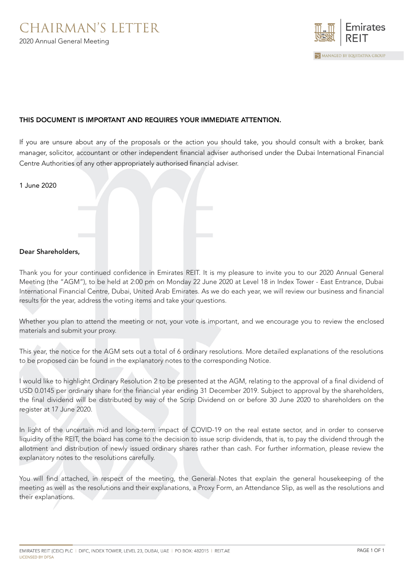

## THIS DOCUMENT IS IMPORTANT AND REQUIRES YOUR IMMEDIATE ATTENTION.

If you are unsure about any of the proposals or the action you should take, you should consult with a broker, bank manager, solicitor, accountant or other independent financial adviser authorised under the Dubai International Financial Centre Authorities of any other appropriately authorised financial adviser.

| 1 June 2020 |  |  |  |
|-------------|--|--|--|
|             |  |  |  |

## Dear Shareholders,

Thank you for your continued confidence in Emirates REIT. It is my pleasure to invite you to our 2020 Annual General Meeting (the "AGM"), to be held at 2:00 pm on Monday 22 June 2020 at Level 18 in Index Tower - East Entrance, Dubai International Financial Centre, Dubai, United Arab Emirates. As we do each year, we will review our business and financial results for the year, address the voting items and take your questions.

Whether you plan to attend the meeting or not, your vote is important, and we encourage you to review the enclosed materials and submit your proxy.

This year, the notice for the AGM sets out a total of 6 ordinary resolutions. More detailed explanations of the resolutions to be proposed can be found in the explanatory notes to the corresponding Notice.

I would like to highlight Ordinary Resolution 2 to be presented at the AGM, relating to the approval of a final dividend of USD 0.0145 per ordinary share for the financial year ending 31 December 2019. Subject to approval by the shareholders, the final dividend will be distributed by way of the Scrip Dividend on or before 30 June 2020 to shareholders on the register at 17 June 2020.

In light of the uncertain mid and long-term impact of COVID-19 on the real estate sector, and in order to conserve liquidity of the REIT, the board has come to the decision to issue scrip dividends, that is, to pay the dividend through the allotment and distribution of newly issued ordinary shares rather than cash. For further information, please review the explanatory notes to the resolutions carefully.

You will find attached, in respect of the meeting, the General Notes that explain the general housekeeping of the meeting as well as the resolutions and their explanations, a Proxy Form, an Attendance Slip, as well as the resolutions and their explanations.